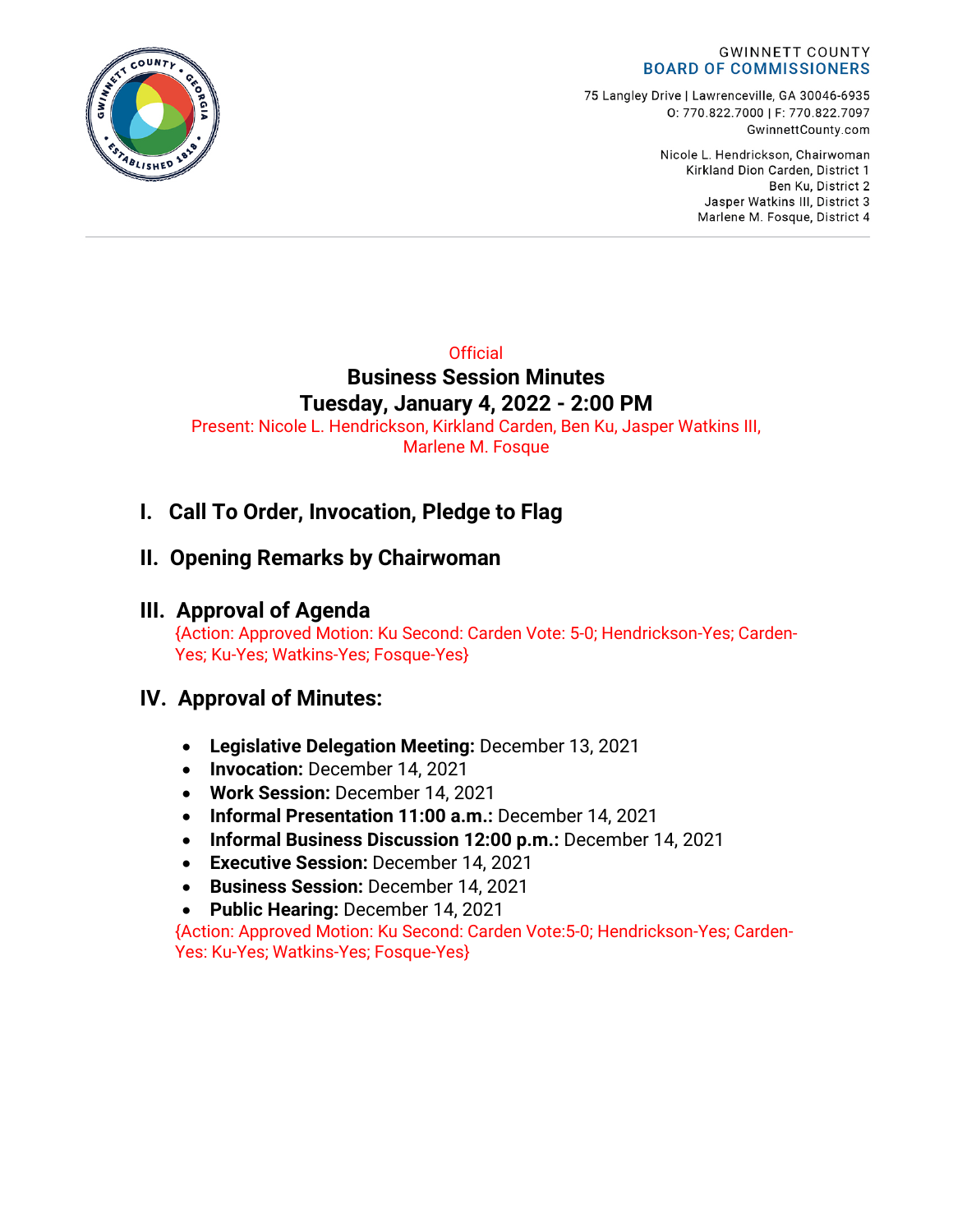

75 Langley Drive | Lawrenceville, GA 30046-6935 0:770.822.7000 | F: 770.822.7097 GwinnettCounty.com

> Nicole L. Hendrickson, Chairwoman Kirkland Dion Carden, District 1 Ben Ku. District 2 Jasper Watkins III, District 3 Marlene M. Fosque, District 4

## **Official Business Session Minutes Tuesday, January 4, 2022 - 2:00 PM**

Present: Nicole L. Hendrickson, Kirkland Carden, Ben Ku, Jasper Watkins III, Marlene M. Fosque

# **I. Call To Order, Invocation, Pledge to Flag**

# **II. Opening Remarks by Chairwoman**

## **III. Approval of Agenda**

{Action: Approved Motion: Ku Second: Carden Vote: 5-0; Hendrickson-Yes; Carden-Yes; Ku-Yes; Watkins-Yes; Fosque-Yes}

## **IV. Approval of Minutes:**

- **Legislative Delegation Meeting:** December 13, 2021
- **Invocation:** December 14, 2021
- **Work Session:** December 14, 2021
- **Informal Presentation 11:00 a.m.:** December 14, 2021
- **Informal Business Discussion 12:00 p.m.:** December 14, 2021
- **Executive Session:** December 14, 2021
- **Business Session:** December 14, 2021
- **Public Hearing:** December 14, 2021

{Action: Approved Motion: Ku Second: Carden Vote:5-0; Hendrickson-Yes; Carden-Yes: Ku-Yes; Watkins-Yes; Fosque-Yes}

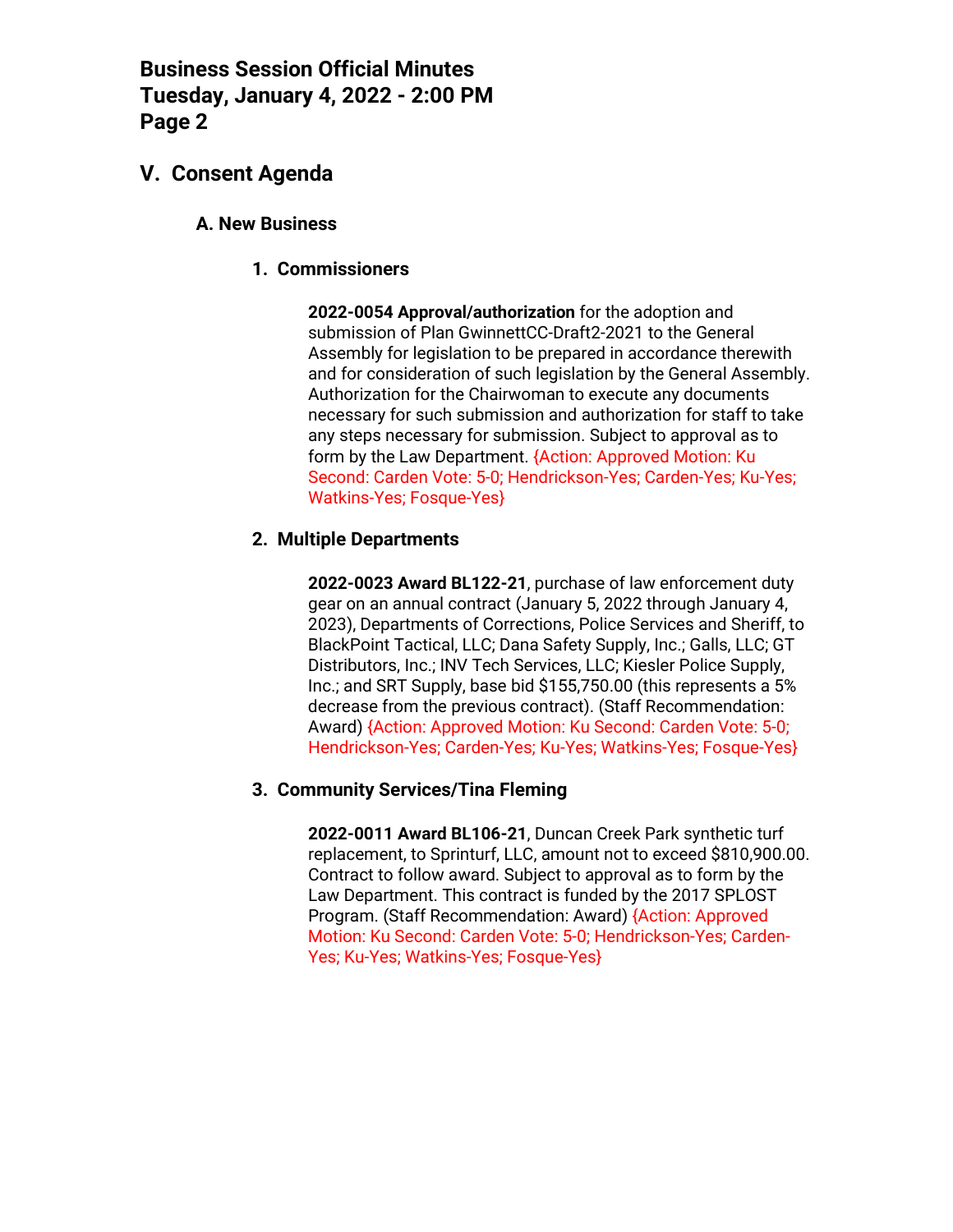## **V. Consent Agenda**

## **A. New Business**

**1. Commissioners**

**2022-0054 Approval/authorization** for the adoption and submission of Plan GwinnettCC-Draft2-2021 to the General Assembly for legislation to be prepared in accordance therewith and for consideration of such legislation by the General Assembly. Authorization for the Chairwoman to execute any documents necessary for such submission and authorization for staff to take any steps necessary for submission. Subject to approval as to form by the Law Department. {Action: Approved Motion: Ku Second: Carden Vote: 5-0; Hendrickson-Yes; Carden-Yes; Ku-Yes; Watkins-Yes; Fosque-Yes}

## **2. Multiple Departments**

**2022-0023 Award BL122-21**, purchase of law enforcement duty gear on an annual contract (January 5, 2022 through January 4, 2023), Departments of Corrections, Police Services and Sheriff, to BlackPoint Tactical, LLC; Dana Safety Supply, Inc.; Galls, LLC; GT Distributors, Inc.; INV Tech Services, LLC; Kiesler Police Supply, Inc.; and SRT Supply, base bid \$155,750.00 (this represents a 5% decrease from the previous contract). (Staff Recommendation: Award) {Action: Approved Motion: Ku Second: Carden Vote: 5-0; Hendrickson-Yes; Carden-Yes; Ku-Yes; Watkins-Yes; Fosque-Yes}

### **3. Community Services/Tina Fleming**

**2022-0011 Award BL106-21**, Duncan Creek Park synthetic turf replacement, to Sprinturf, LLC, amount not to exceed \$810,900.00. Contract to follow award. Subject to approval as to form by the Law Department. This contract is funded by the 2017 SPLOST Program. (Staff Recommendation: Award) {Action: Approved Motion: Ku Second: Carden Vote: 5-0; Hendrickson-Yes; Carden-Yes; Ku-Yes; Watkins-Yes; Fosque-Yes}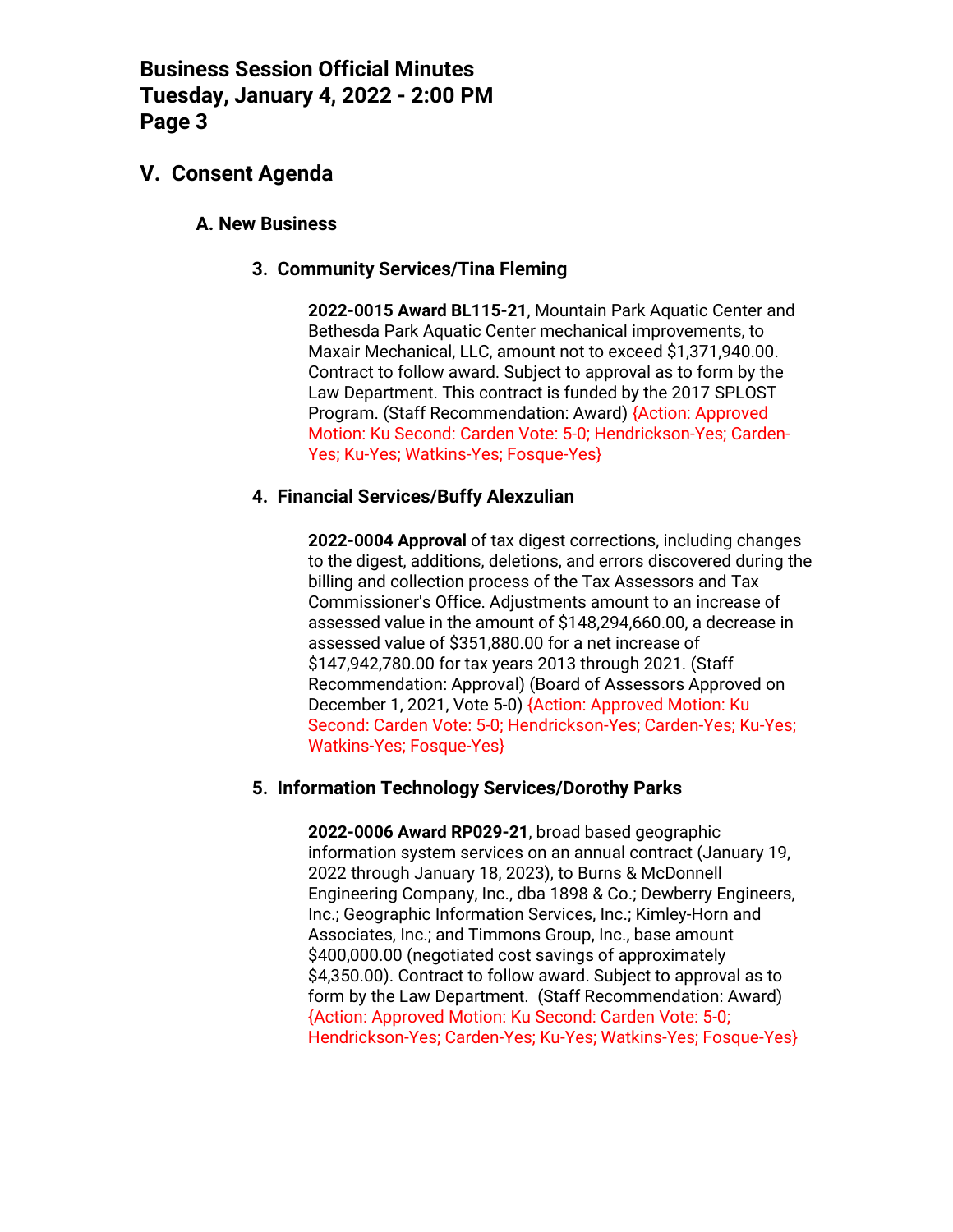## **V. Consent Agenda**

## **A. New Business**

## **3. Community Services/Tina Fleming**

**2022-0015 Award BL115-21**, Mountain Park Aquatic Center and Bethesda Park Aquatic Center mechanical improvements, to Maxair Mechanical, LLC, amount not to exceed \$1,371,940.00. Contract to follow award. Subject to approval as to form by the Law Department. This contract is funded by the 2017 SPLOST Program. (Staff Recommendation: Award) {Action: Approved Motion: Ku Second: Carden Vote: 5-0; Hendrickson-Yes; Carden-Yes; Ku-Yes; Watkins-Yes; Fosque-Yes}

### **4. Financial Services/Buffy Alexzulian**

**2022-0004 Approval** of tax digest corrections, including changes to the digest, additions, deletions, and errors discovered during the billing and collection process of the Tax Assessors and Tax Commissioner's Office. Adjustments amount to an increase of assessed value in the amount of \$148,294,660.00, a decrease in assessed value of \$351,880.00 for a net increase of \$147,942,780.00 for tax years 2013 through 2021. (Staff Recommendation: Approval) (Board of Assessors Approved on December 1, 2021, Vote 5-0) {Action: Approved Motion: Ku Second: Carden Vote: 5-0; Hendrickson-Yes; Carden-Yes; Ku-Yes; Watkins-Yes; Fosque-Yes}

### **5. Information Technology Services/Dorothy Parks**

**2022-0006 Award RP029-21**, broad based geographic information system services on an annual contract (January 19, 2022 through January 18, 2023), to Burns & McDonnell Engineering Company, Inc., dba 1898 & Co.; Dewberry Engineers, Inc.; Geographic Information Services, Inc.; Kimley-Horn and Associates, Inc.; and Timmons Group, Inc., base amount \$400,000.00 (negotiated cost savings of approximately \$4,350.00). Contract to follow award. Subject to approval as to form by the Law Department. (Staff Recommendation: Award) {Action: Approved Motion: Ku Second: Carden Vote: 5-0; Hendrickson-Yes; Carden-Yes; Ku-Yes; Watkins-Yes; Fosque-Yes}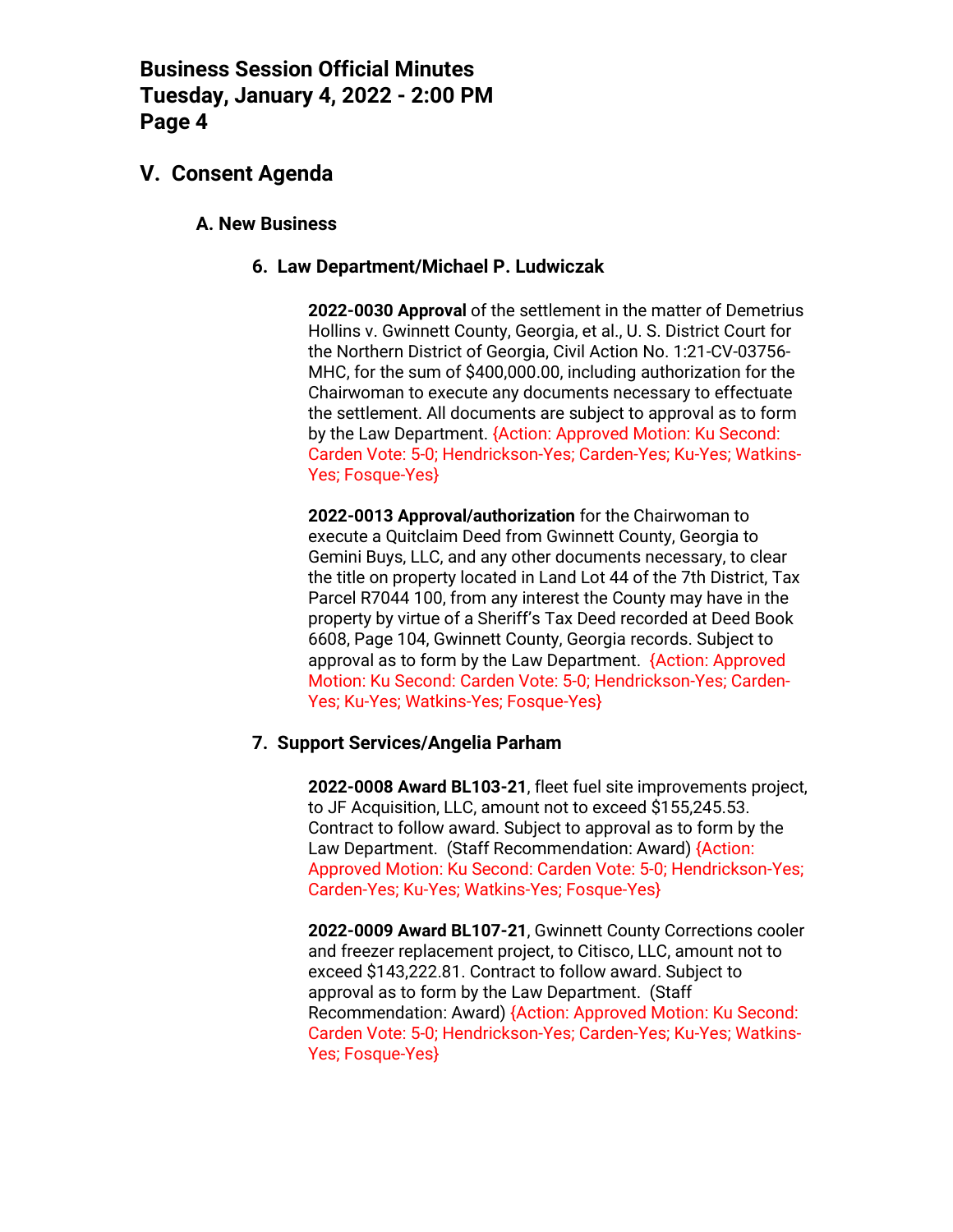## **V. Consent Agenda**

### **A. New Business**

#### **6. Law Department/Michael P. Ludwiczak**

**2022-0030 Approval** of the settlement in the matter of Demetrius Hollins v. Gwinnett County, Georgia, et al., U. S. District Court for the Northern District of Georgia, Civil Action No. 1:21-CV-03756- MHC, for the sum of \$400,000.00, including authorization for the Chairwoman to execute any documents necessary to effectuate the settlement. All documents are subject to approval as to form by the Law Department. {Action: Approved Motion: Ku Second: Carden Vote: 5-0; Hendrickson-Yes; Carden-Yes; Ku-Yes; Watkins-Yes; Fosque-Yes}

**2022-0013 Approval/authorization** for the Chairwoman to execute a Quitclaim Deed from Gwinnett County, Georgia to Gemini Buys, LLC, and any other documents necessary, to clear the title on property located in Land Lot 44 of the 7th District, Tax Parcel R7044 100, from any interest the County may have in the property by virtue of a Sheriff's Tax Deed recorded at Deed Book 6608, Page 104, Gwinnett County, Georgia records. Subject to approval as to form by the Law Department. {Action: Approved Motion: Ku Second: Carden Vote: 5-0; Hendrickson-Yes; Carden-Yes; Ku-Yes; Watkins-Yes; Fosque-Yes}

#### **7. Support Services/Angelia Parham**

**2022-0008 Award BL103-21**, fleet fuel site improvements project, to JF Acquisition, LLC, amount not to exceed \$155,245.53. Contract to follow award. Subject to approval as to form by the Law Department. (Staff Recommendation: Award) {Action: Approved Motion: Ku Second: Carden Vote: 5-0; Hendrickson-Yes; Carden-Yes; Ku-Yes; Watkins-Yes; Fosque-Yes}

**2022-0009 Award BL107-21**, Gwinnett County Corrections cooler and freezer replacement project, to Citisco, LLC, amount not to exceed \$143,222.81. Contract to follow award. Subject to approval as to form by the Law Department. (Staff Recommendation: Award) {Action: Approved Motion: Ku Second: Carden Vote: 5-0; Hendrickson-Yes; Carden-Yes; Ku-Yes; Watkins-Yes; Fosque-Yes}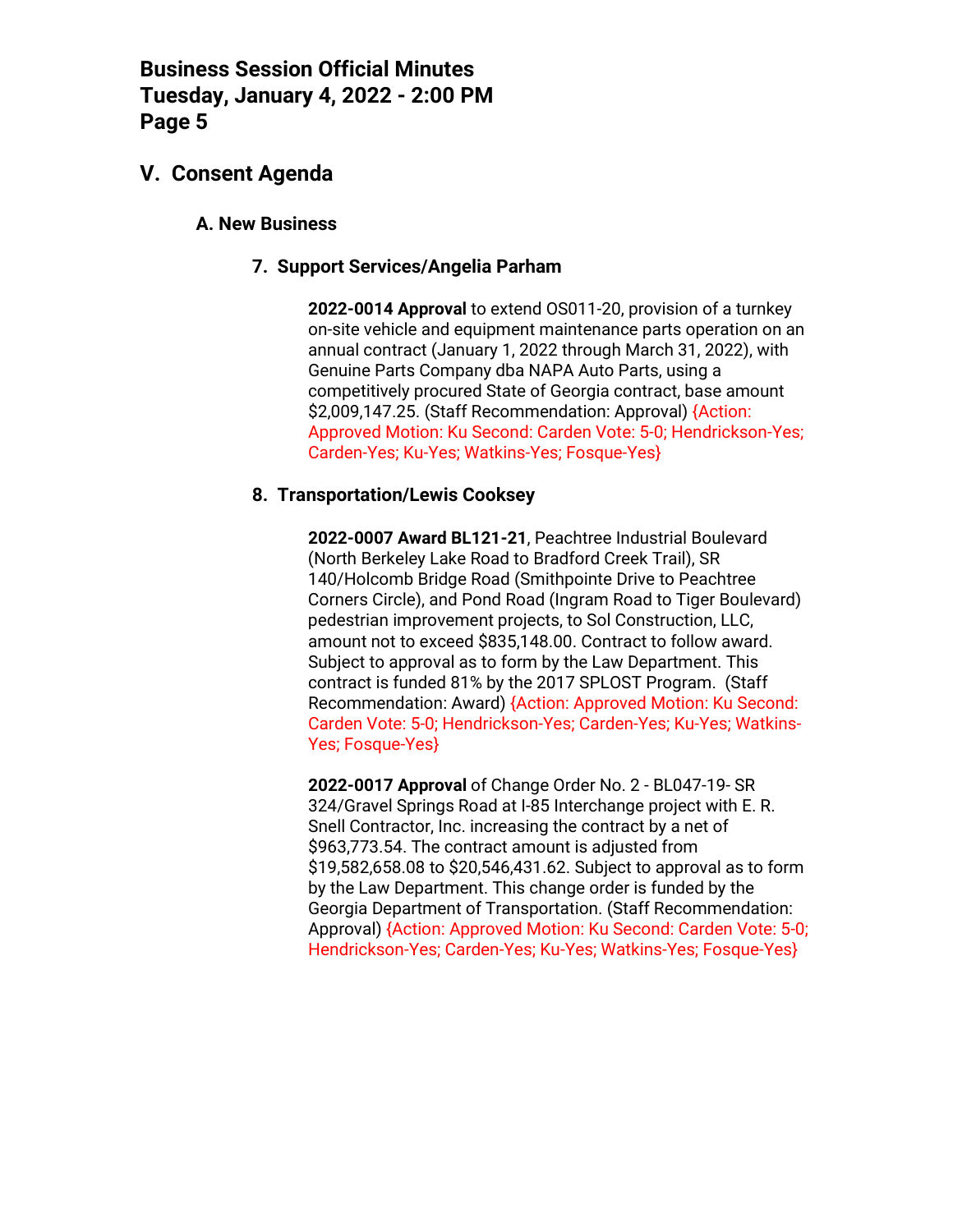## **V. Consent Agenda**

## **A. New Business**

### **7. Support Services/Angelia Parham**

**2022-0014 Approval** to extend OS011-20, provision of a turnkey on-site vehicle and equipment maintenance parts operation on an annual contract (January 1, 2022 through March 31, 2022), with Genuine Parts Company dba NAPA Auto Parts, using a competitively procured State of Georgia contract, base amount \$2,009,147.25. (Staff Recommendation: Approval) {Action: Approved Motion: Ku Second: Carden Vote: 5-0; Hendrickson-Yes; Carden-Yes; Ku-Yes; Watkins-Yes; Fosque-Yes}

## **8. Transportation/Lewis Cooksey**

**2022-0007 Award BL121-21**, Peachtree Industrial Boulevard (North Berkeley Lake Road to Bradford Creek Trail), SR 140/Holcomb Bridge Road (Smithpointe Drive to Peachtree Corners Circle), and Pond Road (Ingram Road to Tiger Boulevard) pedestrian improvement projects, to Sol Construction, LLC, amount not to exceed \$835,148.00. Contract to follow award. Subject to approval as to form by the Law Department. This contract is funded 81% by the 2017 SPLOST Program. (Staff Recommendation: Award) {Action: Approved Motion: Ku Second: Carden Vote: 5-0; Hendrickson-Yes; Carden-Yes; Ku-Yes; Watkins-Yes; Fosque-Yes}

**2022-0017 Approval** of Change Order No. 2 - BL047-19- SR 324/Gravel Springs Road at I-85 Interchange project with E. R. Snell Contractor, Inc. increasing the contract by a net of \$963,773.54. The contract amount is adjusted from \$19,582,658.08 to \$20,546,431.62. Subject to approval as to form by the Law Department. This change order is funded by the Georgia Department of Transportation. (Staff Recommendation: Approval) {Action: Approved Motion: Ku Second: Carden Vote: 5-0; Hendrickson-Yes; Carden-Yes; Ku-Yes; Watkins-Yes; Fosque-Yes}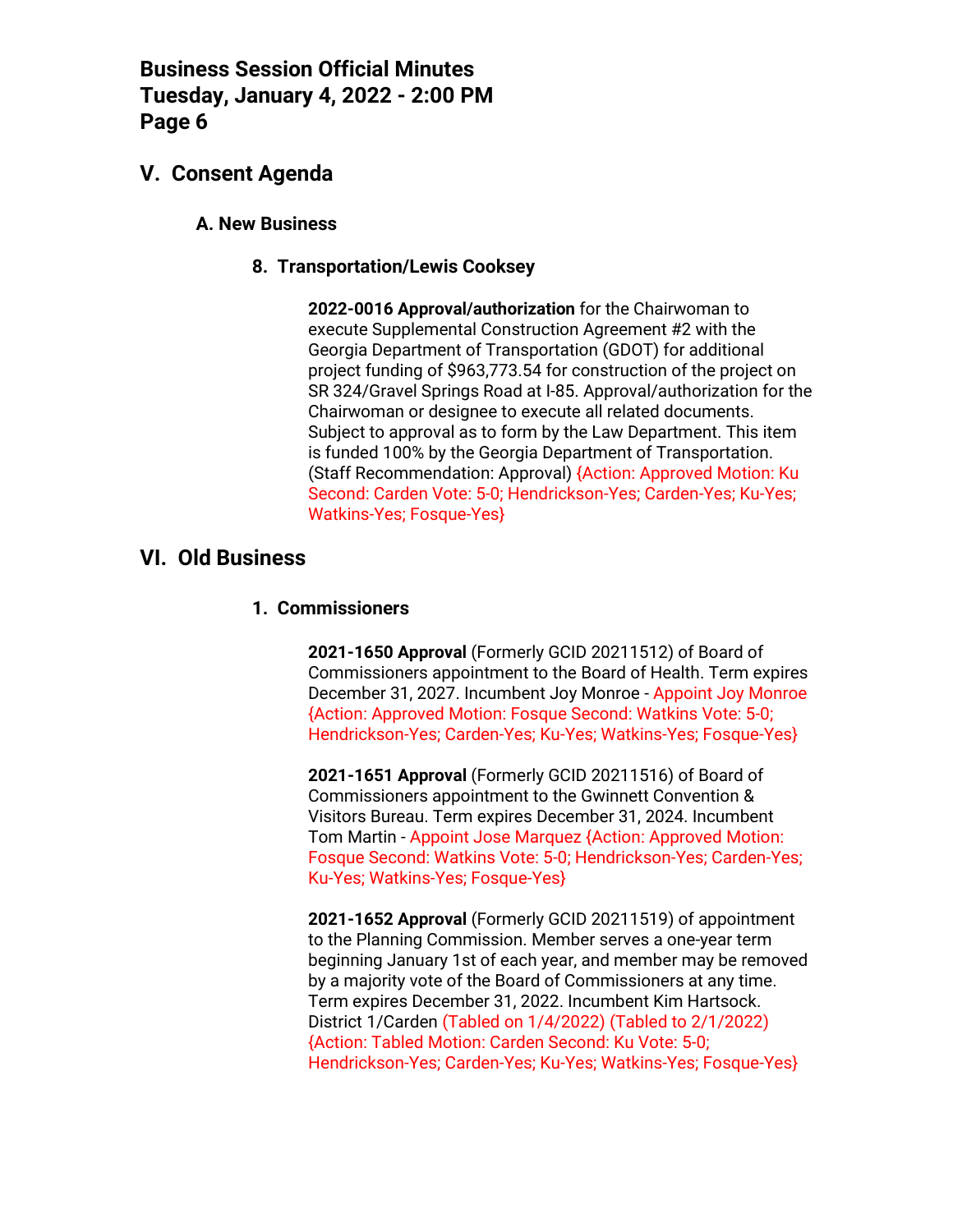## **V. Consent Agenda**

## **A. New Business**

## **8. Transportation/Lewis Cooksey**

**2022-0016 Approval/authorization** for the Chairwoman to execute Supplemental Construction Agreement #2 with the Georgia Department of Transportation (GDOT) for additional project funding of \$963,773.54 for construction of the project on SR 324/Gravel Springs Road at I-85. Approval/authorization for the Chairwoman or designee to execute all related documents. Subject to approval as to form by the Law Department. This item is funded 100% by the Georgia Department of Transportation. (Staff Recommendation: Approval) {Action: Approved Motion: Ku Second: Carden Vote: 5-0; Hendrickson-Yes; Carden-Yes; Ku-Yes; Watkins-Yes; Fosque-Yes}

## **VI. Old Business**

## **1. Commissioners**

**2021-1650 Approval** (Formerly GCID 20211512) of Board of Commissioners appointment to the Board of Health. Term expires December 31, 2027. Incumbent Joy Monroe - Appoint Joy Monroe {Action: Approved Motion: Fosque Second: Watkins Vote: 5-0; Hendrickson-Yes; Carden-Yes; Ku-Yes; Watkins-Yes; Fosque-Yes}

**2021-1651 Approval** (Formerly GCID 20211516) of Board of Commissioners appointment to the Gwinnett Convention & Visitors Bureau. Term expires December 31, 2024. Incumbent Tom Martin - Appoint Jose Marquez {Action: Approved Motion: Fosque Second: Watkins Vote: 5-0; Hendrickson-Yes; Carden-Yes; Ku-Yes; Watkins-Yes; Fosque-Yes}

**2021-1652 Approval** (Formerly GCID 20211519) of appointment to the Planning Commission. Member serves a one-year term beginning January 1st of each year, and member may be removed by a majority vote of the Board of Commissioners at any time. Term expires December 31, 2022. Incumbent Kim Hartsock. District 1/Carden (Tabled on 1/4/2022) (Tabled to 2/1/2022) {Action: Tabled Motion: Carden Second: Ku Vote: 5-0; Hendrickson-Yes; Carden-Yes; Ku-Yes; Watkins-Yes; Fosque-Yes}